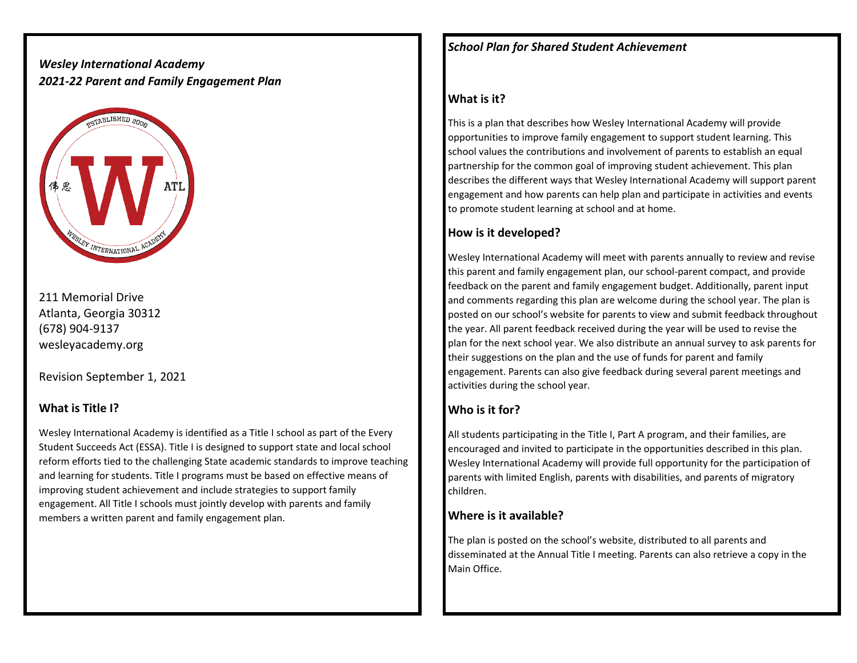# *Wesley International Academy 2021-22 Parent and Family Engagement Plan*



211 Memorial Drive Atlanta, Georgia 30312 (678) 904-9137 wesleyacademy.org

Revision September 1, 2021

#### **What is Title I?**

Wesley International Academy is identified as a Title I school as part of the Every Student Succeeds Act (ESSA). Title I is designed to support state and local school reform efforts tied to the challenging State academic standards to improve teaching and learning for students. Title I programs must be based on effective means of improving student achievement and include strategies to support family engagement. All Title I schools must jointly develop with parents and family members a written parent and family engagement plan.

*School Plan for Shared Student Achievement* 

## **What is it?**

This is a plan that describes how Wesley International Academy will provide opportunities to improve family engagement to support student learning. This school values the contributions and involvement of parents to establish an equal partnership for the common goal of improving student achievement. This plan describes the different ways that Wesley International Academy will support parent engagement and how parents can help plan and participate in activities and events to promote student learning at school and at home.

### **How is it developed?**

Wesley International Academy will meet with parents annually to review and revise this parent and family engagement plan, our school-parent compact, and provide feedback on the parent and family engagement budget. Additionally, parent input and comments regarding this plan are welcome during the school year. The plan is posted on our school's website for parents to view and submit feedback throughout the year. All parent feedback received during the year will be used to revise the plan for the next school year. We also distribute an annual survey to ask parents for their suggestions on the plan and the use of funds for parent and family engagement. Parents can also give feedback during several parent meetings and activities during the school year.

# **Who is it for?**

All students participating in the Title I, Part A program, and their families, are encouraged and invited to participate in the opportunities described in this plan. Wesley International Academy will provide full opportunity for the participation of parents with limited English, parents with disabilities, and parents of migratory children.

### **Where is it available?**

The plan is posted on the school's website, distributed to all parents and disseminated at the Annual Title I meeting. Parents can also retrieve a copy in the Main Office.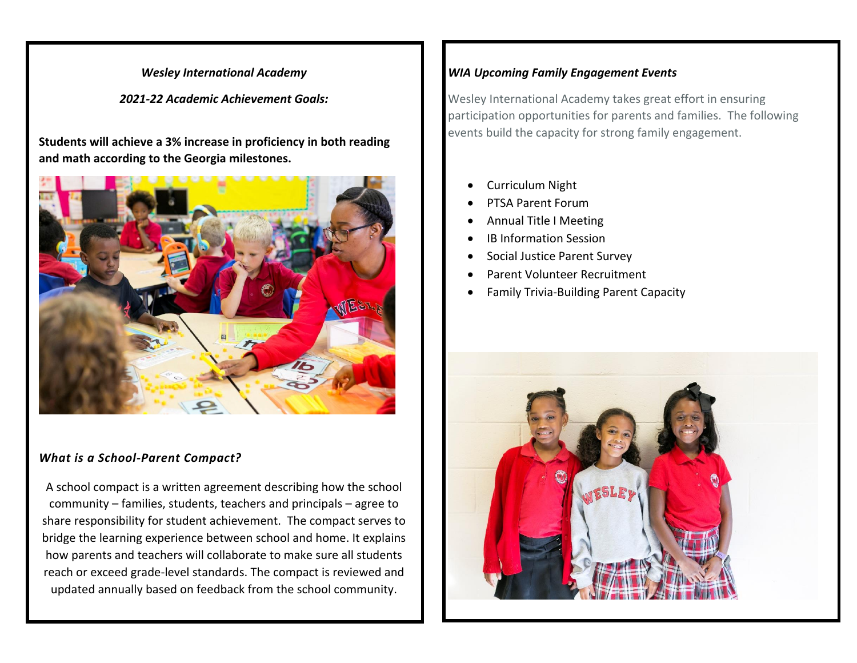### *Wesley International Academy*

*2021-22 Academic Achievement Goals:*

**Students will achieve a 3% increase in proficiency in both reading and math according to the Georgia milestones.**



#### *What is a School-Parent Compact?*

A school compact is a written agreement describing how the school community – families, students, teachers and principals – agree to share responsibility for student achievement. The compact serves to bridge the learning experience between school and home. It explains how parents and teachers will collaborate to make sure all students reach or exceed grade-level standards. The compact is reviewed and updated annually based on feedback from the school community.

# *WIA Upcoming Family Engagement Events*

Wesley International Academy takes great effort in ensuring participation opportunities for parents and families. The following events build the capacity for strong family engagement.

- Curriculum Night
- PTSA Parent Forum
- Annual Title I Meeting
- IB Information Session
- Social Justice Parent Survey
- Parent Volunteer Recruitment
- Family Trivia-Building Parent Capacity